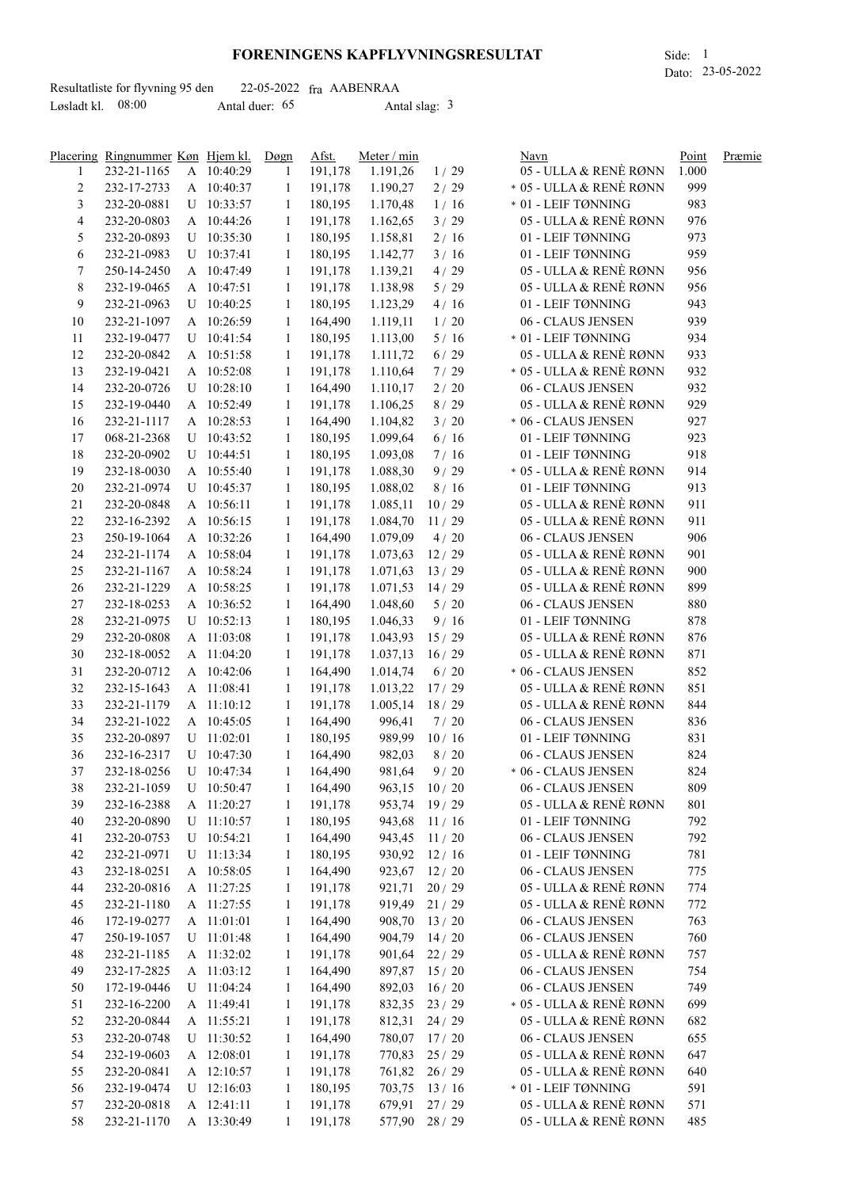## **FORENINGENS KAPFLYVNINGSRESULTAT** Side: 1

|                     | Resultatliste for flyvning 95 den |                | $22-05-2022$ fra AABENRAA |  |
|---------------------|-----------------------------------|----------------|---------------------------|--|
| Løsladt kl. $08:00$ |                                   | Antal duer: 65 | Antal slag: $3$           |  |

|                | Placering Ringnummer Køn Hjem kl. |              | Døgn         | Afst.   | Meter / min         |                | Navn                     | Point      | Præmie |
|----------------|-----------------------------------|--------------|--------------|---------|---------------------|----------------|--------------------------|------------|--------|
| 1              | 232-21-1165                       | A 10:40:29   | -1           | 191,178 | 1.191,26            | 1/29           | 05 - ULLA & RENÈ RØNN    | 1.000      |        |
| $\overline{c}$ | 232-17-2733                       | A 10:40:37   | $\mathbf{1}$ | 191,178 | 1.190,27            | 2/29           | * 05 - ULLA & RENÈ RØNN  | 999        |        |
| 3              | 232-20-0881                       | U 10:33:57   | -1           | 180,195 | 1.170,48            | 1/16           | * 01 - LEIF TØNNING      | 983        |        |
| 4              | 232-20-0803                       | A 10:44:26   | 1            | 191,178 | 1.162,65            | 3/29           | 05 - ULLA & RENÈ RØNN    | 976        |        |
| 5              | 232-20-0893                       | $U$ 10:35:30 | 1            | 180,195 | 1.158,81            | 2/16           | 01 - LEIF TØNNING        | 973        |        |
| 6              | 232-21-0983                       | U 10:37:41   | 1            | 180,195 | 1.142,77            | 3/16           | 01 - LEIF TØNNING        | 959        |        |
| 7              | 250-14-2450                       | A 10:47:49   | 1            | 191,178 | 1.139,21            | 4/29           | 05 - ULLA & RENÈ RØNN    | 956        |        |
| 8              | 232-19-0465                       | A 10:47:51   | 1            | 191,178 | 1.138,98            | 5/29           | 05 - ULLA & RENÈ RØNN    | 956        |        |
| 9              | 232-21-0963                       | $U$ 10:40:25 | 1            | 180,195 | 1.123,29            | 4/16           | 01 - LEIF TØNNING        | 943        |        |
| 10             | 232-21-1097                       | A 10:26:59   | 1            | 164,490 | 1.119,11            | 1/20           | 06 - CLAUS JENSEN        | 939        |        |
| 11             | 232-19-0477                       | U 10:41:54   | 1            | 180,195 | 1.113,00            | 5/16           | $\ast$ 01 - LEIF TØNNING | 934        |        |
| 12             | 232-20-0842                       | A 10:51:58   | -1           | 191,178 | 1.111,72            | $6/29$         | 05 - ULLA & RENÈ RØNN    | 933        |        |
| 13             | 232-19-0421                       | A 10:52:08   | 1            | 191,178 | 1.110,64            | 7/29           | * 05 - ULLA & RENÈ RØNN  | 932        |        |
|                |                                   | U 10:28:10   | 1            | 164,490 |                     | $2/20$         | 06 - CLAUS JENSEN        | 932        |        |
| 14             | 232-20-0726                       |              |              |         | 1.110,17            |                | 05 - ULLA & RENÈ RØNN    |            |        |
| 15             | 232-19-0440                       | A 10:52:49   | -1           | 191,178 | 1.106,25            | 8/29           |                          | 929        |        |
| 16             | 232-21-1117                       | A 10:28:53   | -1           | 164,490 | 1.104,82            | 3/20           | * 06 - CLAUS JENSEN      | 927        |        |
| 17             | 068-21-2368                       | U 10:43:52   | -1           | 180,195 | 1.099,64            | $6/16$         | 01 - LEIF TØNNING        | 923        |        |
| 18             | 232-20-0902                       | $U$ 10:44:51 | $\mathbf{1}$ | 180,195 | 1.093,08            | 7/16           | 01 - LEIF TØNNING        | 918        |        |
| 19             | 232-18-0030                       | A 10:55:40   | -1           | 191,178 | 1.088,30            | 9/29           | * 05 - ULLA & RENÈ RØNN  | 914        |        |
| 20             | 232-21-0974                       | U 10:45:37   | -1           | 180,195 | 1.088,02            | 8/16           | 01 - LEIF TØNNING        | 913        |        |
| 21             | 232-20-0848                       | A 10:56:11   | -1           | 191,178 | 1.085,11            | 10/29          | 05 - ULLA & RENÈ RØNN    | 911        |        |
| 22             | 232-16-2392                       | A 10:56:15   | -1           | 191,178 | 1.084,70            | 11/29          | 05 - ULLA & RENÈ RØNN    | 911        |        |
| 23             | 250-19-1064                       | A 10:32:26   | -1           | 164,490 | 1.079,09            | 4/20           | 06 - CLAUS JENSEN        | 906        |        |
| 24             | 232-21-1174                       | A 10:58:04   | -1           | 191,178 | 1.073,63            | 12/29          | 05 - ULLA & RENÈ RØNN    | 901        |        |
| 25             | 232-21-1167                       | A 10:58:24   | -1           | 191,178 | 1.071,63            | 13/29          | 05 - ULLA & RENÈ RØNN    | 900        |        |
| 26             | 232-21-1229                       | A 10:58:25   | -1           | 191,178 | $1.071,53$ 14/29    |                | 05 - ULLA & RENÈ RØNN    | 899        |        |
| 27             | 232-18-0253                       | A 10:36:52   | 1            | 164,490 | 1.048,60            | 5/20           | 06 - CLAUS JENSEN        | 880        |        |
| 28             | 232-21-0975                       | $U$ 10:52:13 | -1           | 180,195 | 1.046,33            | 9/16           | 01 - LEIF TØNNING        | 878        |        |
| 29             | 232-20-0808                       | A 11:03:08   | -1           | 191,178 | 1.043,93            | 15/29          | 05 - ULLA & RENÈ RØNN    | 876        |        |
| 30             | 232-18-0052                       | A 11:04:20   | 1            | 191,178 | 1.037,13            | 16/29          | 05 - ULLA & RENÈ RØNN    | 871        |        |
| 31             | 232-20-0712                       | A 10:42:06   | 1            | 164,490 | 1.014,74            | 6/20           | * 06 - CLAUS JENSEN      | 852        |        |
| 32             | 232-15-1643                       | A 11:08:41   | 1            | 191,178 | $1.013,22$ 17/29    |                | 05 - ULLA & RENÈ RØNN    | 851        |        |
| 33             | 232-21-1179                       | A 11:10:12   | -1           | 191,178 | $1.005, 14$ 18 / 29 |                | 05 - ULLA & RENÈ RØNN    | 844        |        |
| 34             | 232-21-1022                       | A 10:45:05   | 1            | 164,490 | 996,41              | 7/20           | 06 - CLAUS JENSEN        | 836        |        |
| 35             | 232-20-0897                       | $U$ 11:02:01 | 1            | 180,195 | 989,99              | 10/16          | 01 - LEIF TØNNING        | 831        |        |
| 36             | 232-16-2317                       | U 10:47:30   | 1            | 164,490 | 982,03              | 8/20           | 06 - CLAUS JENSEN        | 824        |        |
| 37             | 232-18-0256                       | U 10:47:34   | 1            | 164,490 | 981,64              | 9/20           | * 06 - CLAUS JENSEN      | 824        |        |
| 38             | 232-21-1059                       | U 10:50:47   | 1            | 164,490 | 963,15              | 10/20          | 06 - CLAUS JENSEN        | 809        |        |
| 39             | 232-16-2388                       | A 11:20:27   | $\mathbf{1}$ | 191,178 | 953,74              | 19/29          | 05 - ULLA & RENÈ RØNN    | 801        |        |
| 40             | 232-20-0890                       | U 11:10:57   | 1            | 180,195 | 943,68              | 11/16          | 01 - LEIF TØNNING        | 792        |        |
| 41             | 232-20-0753                       | U 10:54:21   | -1           | 164,490 | 943,45              | 11/20          | 06 - CLAUS JENSEN        | 792        |        |
|                |                                   |              |              |         | 930,92              | 12/16          | 01 - LEIF TØNNING        |            |        |
| 42             | 232-21-0971                       | U 11:13:34   | 1            | 180,195 |                     | 12/20          | 06 - CLAUS JENSEN        | 781<br>775 |        |
| 43             | 232-18-0251                       | A 10:58:05   | 1            | 164,490 | 923,67              |                |                          |            |        |
| 44             | 232-20-0816                       | A 11:27:25   | 1            | 191,178 | 921,71              | 20/29          | 05 - ULLA & RENÈ RØNN    | 774        |        |
| 45             | 232-21-1180                       | A 11:27:55   | 1            | 191,178 | 919,49              | 21/29          | 05 - ULLA & RENÈ RØNN    | 772        |        |
| 46             | 172-19-0277                       | A 11:01:01   | 1            | 164,490 | 908,70              | 13/20          | 06 - CLAUS JENSEN        | 763        |        |
| 47             | 250-19-1057                       | U 11:01:48   | $\mathbf{1}$ | 164,490 | 904,79              | 14/20          | 06 - CLAUS JENSEN        | 760        |        |
| 48             | 232-21-1185                       | A 11:32:02   | -1           | 191,178 | 901,64              | 22/29          | 05 - ULLA & RENÈ RØNN    | 757        |        |
| 49             | 232-17-2825                       | A 11:03:12   | -1           | 164,490 | 897,87 15 / 20      |                | 06 - CLAUS JENSEN        | 754        |        |
| 50             | 172-19-0446                       | U 11:04:24   | -1           | 164,490 | 892,03              | 16/20          | 06 - CLAUS JENSEN        | 749        |        |
| 51             | 232-16-2200                       | A 11:49:41   | -1           | 191,178 | 832,35              | 23/29          | * 05 - ULLA & RENÈ RØNN  | 699        |        |
| 52             | 232-20-0844                       | A 11:55:21   | -1           | 191,178 | 812,31 24/29        |                | 05 - ULLA & RENÈ RØNN    | 682        |        |
| 53             | 232-20-0748                       | U 11:30:52   | -1           | 164,490 | 780,07 17/20        |                | 06 - CLAUS JENSEN        | 655        |        |
| 54             | 232-19-0603                       | A 12:08:01   | -1           | 191,178 | 770,83              | 25/29          | 05 - ULLA & RENÈ RØNN    | 647        |        |
| 55             | 232-20-0841                       | A 12:10:57   | -1           | 191,178 |                     | 761,82 26/29   | 05 - ULLA & RENÈ RØNN    | 640        |        |
| 56             | 232-19-0474                       | $U$ 12:16:03 | -1           | 180,195 | 703,75              | 13/16          | * 01 - LEIF TØNNING      | 591        |        |
| 57             | 232-20-0818                       | A 12:41:11   | -1           | 191,178 | 679,91              | 27/29          | 05 - ULLA & RENÈ RØNN    | 571        |        |
| 58             | 232-21-1170                       | A 13:30:49   | 1            | 191,178 |                     | 577,90 28 / 29 | 05 - ULLA & RENÈ RØNN    | 485        |        |